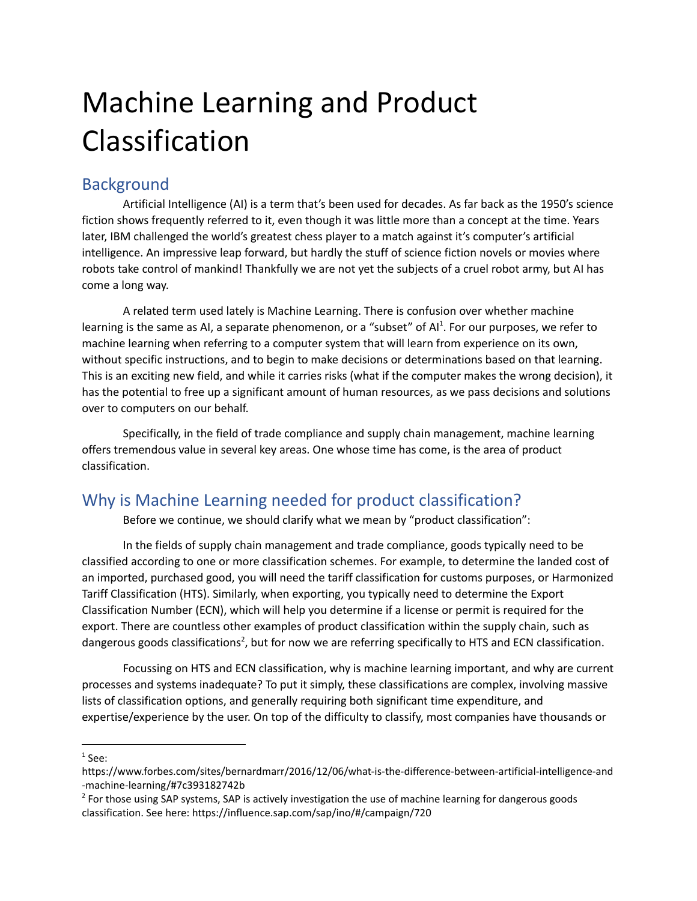# Machine Learning and Product Classification

## **Background**

Artificial Intelligence (AI) is a term that's been used for decades. As far back as the 1950's science fiction shows frequently referred to it, even though it was little more than a concept at the time. Years later, IBM challenged the world's greatest chess player to a match against it's computer's artificial intelligence. An impressive leap forward, but hardly the stuff of science fiction novels or movies where robots take control of mankind! Thankfully we are not yet the subjects of a cruel robot army, but AI has come a long way.

A related term used lately is Machine Learning. There is confusion over whether machine learning is the same as AI, a separate phenomenon, or a "subset" of AI<sup>1</sup>. For our purposes, we refer to machine learning when referring to a computer system that will learn from experience on its own, without specific instructions, and to begin to make decisions or determinations based on that learning. This is an exciting new field, and while it carries risks (what if the computer makes the wrong decision), it has the potential to free up a significant amount of human resources, as we pass decisions and solutions over to computers on our behalf.

Specifically, in the field of trade compliance and supply chain management, machine learning offers tremendous value in several key areas. One whose time has come, is the area of product classification.

## Why is Machine Learning needed for product classification?

Before we continue, we should clarify what we mean by "product classification":

In the fields of supply chain management and trade compliance, goods typically need to be classified according to one or more classification schemes. For example, to determine the landed cost of an imported, purchased good, you will need the tariff classification for customs purposes, or Harmonized Tariff Classification (HTS). Similarly, when exporting, you typically need to determine the Export Classification Number (ECN), which will help you determine if a license or permit is required for the export. There are countless other examples of product classification within the supply chain, such as dangerous goods classifications<sup>2</sup>, but for now we are referring specifically to HTS and ECN classification.

Focussing on HTS and ECN classification, why is machine learning important, and why are current processes and systems inadequate? To put it simply, these classifications are complex, involving massive lists of classification options, and generally requiring both significant time expenditure, and expertise/experience by the user. On top of the difficulty to classify, most companies have thousands or

 $<sup>1</sup>$  See:</sup>

https://www.forbes.com/sites/bernardmarr/2016/12/06/what-is-the-difference-between-artificial-intelligence-and -machine-learning/#7c393182742b

<sup>&</sup>lt;sup>2</sup> For those using SAP systems, SAP is actively investigation the use of machine learning for dangerous goods classification. See here: https://influence.sap.com/sap/ino/#/campaign/720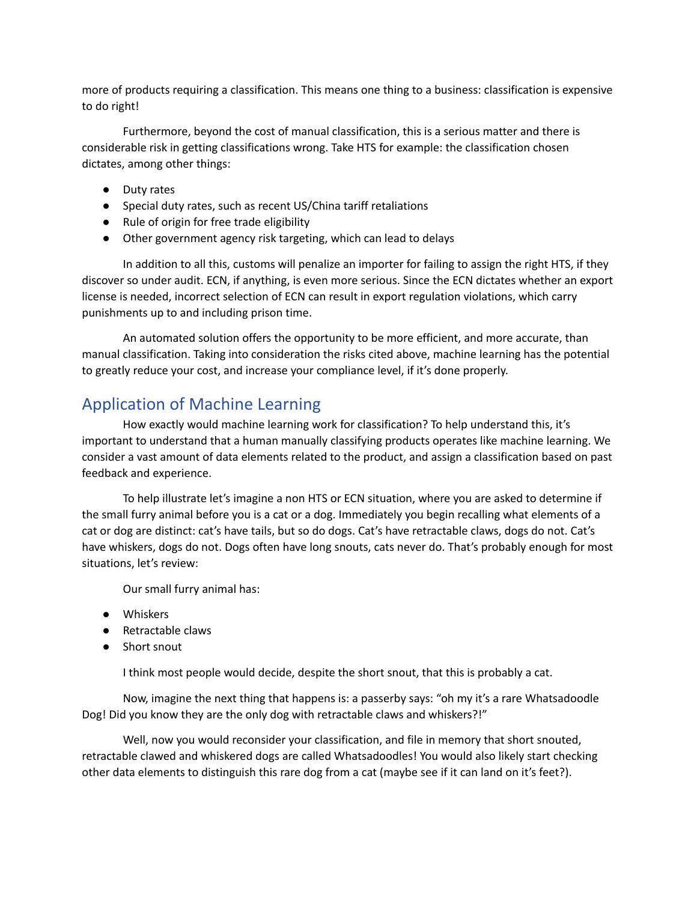more of products requiring a classification. This means one thing to a business: classification is expensive to do right!

Furthermore, beyond the cost of manual classification, this is a serious matter and there is considerable risk in getting classifications wrong. Take HTS for example: the classification chosen dictates, among other things:

- Duty rates
- Special duty rates, such as recent US/China tariff retaliations
- Rule of origin for free trade eligibility
- Other government agency risk targeting, which can lead to delays

In addition to all this, customs will penalize an importer for failing to assign the right HTS, if they discover so under audit. ECN, if anything, is even more serious. Since the ECN dictates whether an export license is needed, incorrect selection of ECN can result in export regulation violations, which carry punishments up to and including prison time.

An automated solution offers the opportunity to be more efficient, and more accurate, than manual classification. Taking into consideration the risks cited above, machine learning has the potential to greatly reduce your cost, and increase your compliance level, if it's done properly.

### Application of Machine Learning

How exactly would machine learning work for classification? To help understand this, it's important to understand that a human manually classifying products operates like machine learning. We consider a vast amount of data elements related to the product, and assign a classification based on past feedback and experience.

To help illustrate let's imagine a non HTS or ECN situation, where you are asked to determine if the small furry animal before you is a cat or a dog. Immediately you begin recalling what elements of a cat or dog are distinct: cat's have tails, but so do dogs. Cat's have retractable claws, dogs do not. Cat's have whiskers, dogs do not. Dogs often have long snouts, cats never do. That's probably enough for most situations, let's review:

Our small furry animal has:

- Whiskers
- Retractable claws
- Short snout

I think most people would decide, despite the short snout, that this is probably a cat.

Now, imagine the next thing that happens is: a passerby says: "oh my it's a rare Whatsadoodle Dog! Did you know they are the only dog with retractable claws and whiskers?!"

Well, now you would reconsider your classification, and file in memory that short snouted, retractable clawed and whiskered dogs are called Whatsadoodles! You would also likely start checking other data elements to distinguish this rare dog from a cat (maybe see if it can land on it's feet?).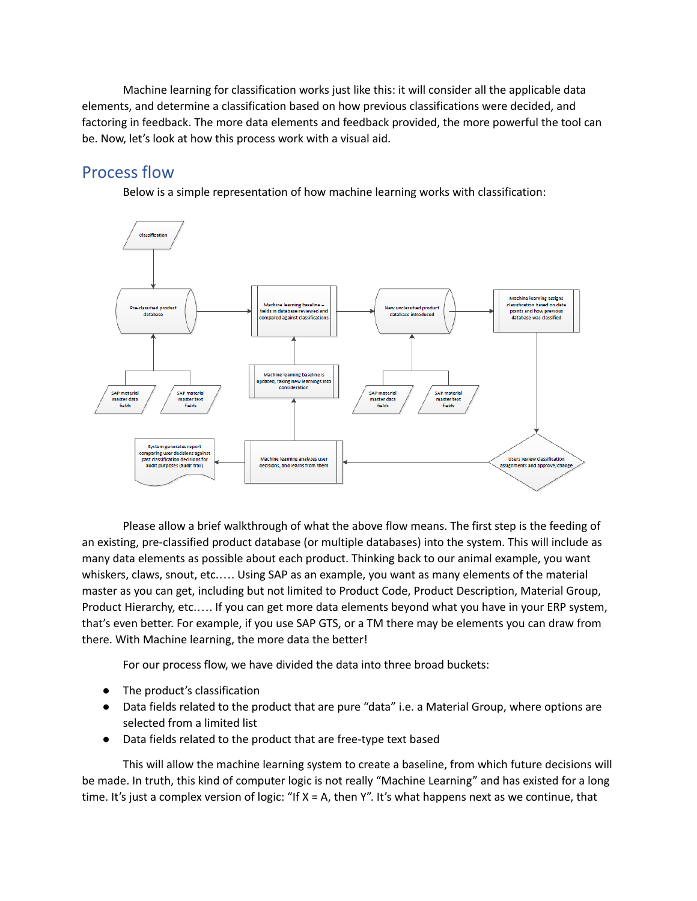Machine learning for classification works just like this: it will consider all the applicable data elements, and determine a classification based on how previous classifications were decided, and factoring in feedback. The more data elements and feedback provided, the more powerful the tool can be. Now, let's look at how this process work with a visual aid.

#### Process flow

Below is a simple representation of how machine learning works with classification:



Please allow a brief walkthrough of what the above flow means. The first step is the feeding of an existing, pre-classified product database (or multiple databases) into the system. This will include as many data elements as possible about each product. Thinking back to our animal example, you want whiskers, claws, snout, etc.…. Using SAP as an example, you want as many elements of the material master as you can get, including but not limited to Product Code, Product Description, Material Group, Product Hierarchy, etc.…. If you can get more data elements beyond what you have in your ERP system, that's even better. For example, if you use SAP GTS, or a TM there may be elements you can draw from there. With Machine learning, the more data the better!

For our process flow, we have divided the data into three broad buckets:

- The product's classification
- Data fields related to the product that are pure "data" i.e. a Material Group, where options are selected from a limited list
- Data fields related to the product that are free-type text based

This will allow the machine learning system to create a baseline, from which future decisions will be made. In truth, this kind of computer logic is not really "Machine Learning" and has existed for a long time. It's just a complex version of logic: "If X = A, then Y". It's what happens next as we continue, that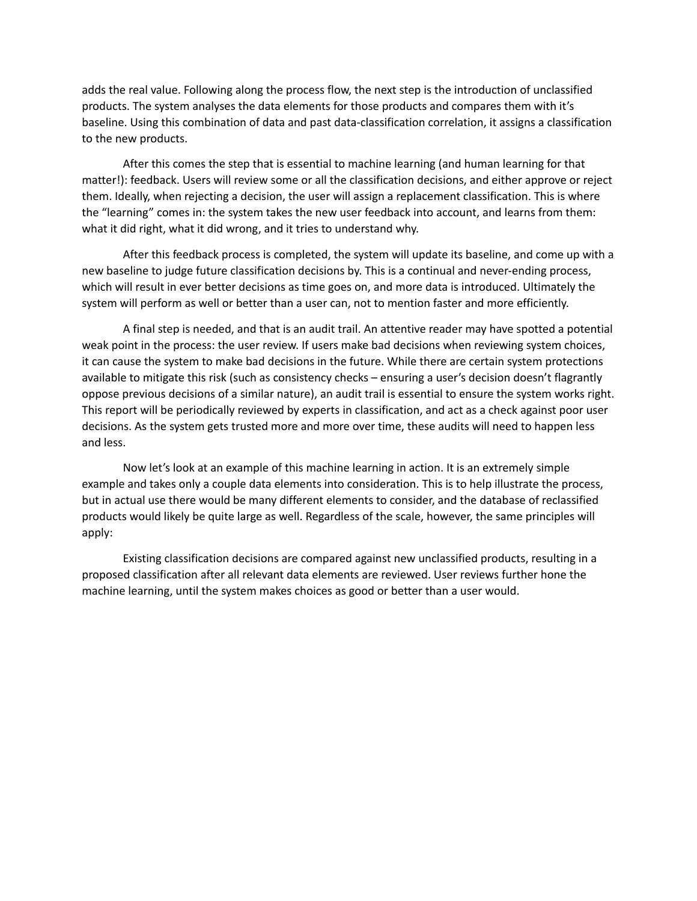adds the real value. Following along the process flow, the next step is the introduction of unclassified products. The system analyses the data elements for those products and compares them with it's baseline. Using this combination of data and past data-classification correlation, it assigns a classification to the new products.

After this comes the step that is essential to machine learning (and human learning for that matter!): feedback. Users will review some or all the classification decisions, and either approve or reject them. Ideally, when rejecting a decision, the user will assign a replacement classification. This is where the "learning" comes in: the system takes the new user feedback into account, and learns from them: what it did right, what it did wrong, and it tries to understand why.

After this feedback process is completed, the system will update its baseline, and come up with a new baseline to judge future classification decisions by. This is a continual and never-ending process, which will result in ever better decisions as time goes on, and more data is introduced. Ultimately the system will perform as well or better than a user can, not to mention faster and more efficiently.

A final step is needed, and that is an audit trail. An attentive reader may have spotted a potential weak point in the process: the user review. If users make bad decisions when reviewing system choices, it can cause the system to make bad decisions in the future. While there are certain system protections available to mitigate this risk (such as consistency checks – ensuring a user's decision doesn't flagrantly oppose previous decisions of a similar nature), an audit trail is essential to ensure the system works right. This report will be periodically reviewed by experts in classification, and act as a check against poor user decisions. As the system gets trusted more and more over time, these audits will need to happen less and less.

Now let's look at an example of this machine learning in action. It is an extremely simple example and takes only a couple data elements into consideration. This is to help illustrate the process, but in actual use there would be many different elements to consider, and the database of reclassified products would likely be quite large as well. Regardless of the scale, however, the same principles will apply:

Existing classification decisions are compared against new unclassified products, resulting in a proposed classification after all relevant data elements are reviewed. User reviews further hone the machine learning, until the system makes choices as good or better than a user would.